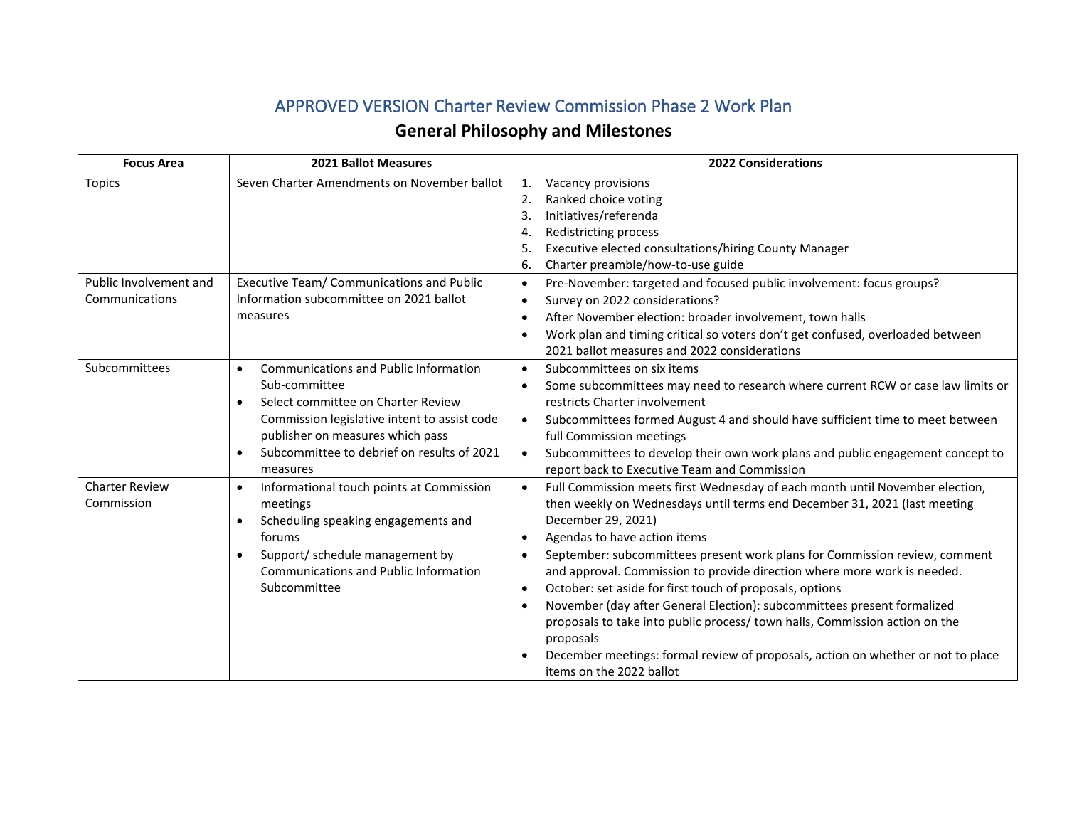## APPROVED VERSION Charter Review Commission Phase 2 Work Plan

## **General Philosophy and Milestones**

| <b>Focus Area</b>                        | <b>2021 Ballot Measures</b>                                                                                                                                                                                                                                                              | <b>2022 Considerations</b>                                                                                                                                                                                                                                                                                                                                                                                                                                                                                                                                                                                                                                                                                                                                                                    |  |  |  |
|------------------------------------------|------------------------------------------------------------------------------------------------------------------------------------------------------------------------------------------------------------------------------------------------------------------------------------------|-----------------------------------------------------------------------------------------------------------------------------------------------------------------------------------------------------------------------------------------------------------------------------------------------------------------------------------------------------------------------------------------------------------------------------------------------------------------------------------------------------------------------------------------------------------------------------------------------------------------------------------------------------------------------------------------------------------------------------------------------------------------------------------------------|--|--|--|
| <b>Topics</b>                            | Seven Charter Amendments on November ballot                                                                                                                                                                                                                                              | 1.<br>Vacancy provisions<br>Ranked choice voting<br>2.<br>Initiatives/referenda<br>3.<br>Redistricting process<br>4.<br>Executive elected consultations/hiring County Manager<br>5.<br>Charter preamble/how-to-use guide<br>6.                                                                                                                                                                                                                                                                                                                                                                                                                                                                                                                                                                |  |  |  |
| Public Involvement and<br>Communications | Executive Team/ Communications and Public<br>Information subcommittee on 2021 ballot<br>measures                                                                                                                                                                                         | Pre-November: targeted and focused public involvement: focus groups?<br>$\bullet$<br>Survey on 2022 considerations?<br>$\bullet$<br>After November election: broader involvement, town halls<br>$\bullet$<br>Work plan and timing critical so voters don't get confused, overloaded between<br>$\bullet$<br>2021 ballot measures and 2022 considerations                                                                                                                                                                                                                                                                                                                                                                                                                                      |  |  |  |
| Subcommittees                            | <b>Communications and Public Information</b><br>$\bullet$<br>Sub-committee<br>Select committee on Charter Review<br>$\bullet$<br>Commission legislative intent to assist code<br>publisher on measures which pass<br>Subcommittee to debrief on results of 2021<br>$\bullet$<br>measures | Subcommittees on six items<br>$\bullet$<br>Some subcommittees may need to research where current RCW or case law limits or<br>$\bullet$<br>restricts Charter involvement<br>Subcommittees formed August 4 and should have sufficient time to meet between<br>$\bullet$<br>full Commission meetings<br>Subcommittees to develop their own work plans and public engagement concept to<br>$\bullet$<br>report back to Executive Team and Commission                                                                                                                                                                                                                                                                                                                                             |  |  |  |
| <b>Charter Review</b><br>Commission      | Informational touch points at Commission<br>$\bullet$<br>meetings<br>Scheduling speaking engagements and<br>forums<br>Support/ schedule management by<br><b>Communications and Public Information</b><br>Subcommittee                                                                    | Full Commission meets first Wednesday of each month until November election,<br>$\bullet$<br>then weekly on Wednesdays until terms end December 31, 2021 (last meeting<br>December 29, 2021)<br>Agendas to have action items<br>$\bullet$<br>September: subcommittees present work plans for Commission review, comment<br>$\bullet$<br>and approval. Commission to provide direction where more work is needed.<br>October: set aside for first touch of proposals, options<br>$\bullet$<br>November (day after General Election): subcommittees present formalized<br>$\bullet$<br>proposals to take into public process/ town halls, Commission action on the<br>proposals<br>December meetings: formal review of proposals, action on whether or not to place<br>items on the 2022 ballot |  |  |  |